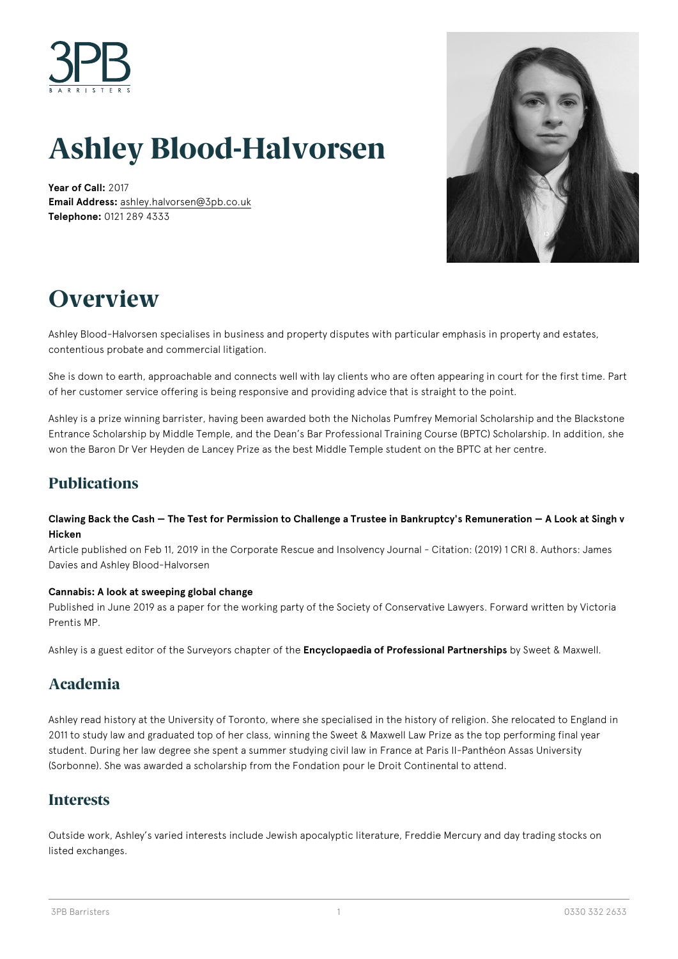

# **Ashley Blood-Halvorsen**

**Year of Call:** 2017 **Email Address:** [ashley.halvorsen@3pb.co.uk](mailto:ashley.halvorsen@3pb.co.uk) **Telephone:** 0121 289 4333



## **Overview**

Ashley Blood-Halvorsen specialises in business and property disputes with particular emphasis in property and estates, contentious probate and commercial litigation.

She is down to earth, approachable and connects well with lay clients who are often appearing in court for the first time. Part of her customer service offering is being responsive and providing advice that is straight to the point.

Ashley is a prize winning barrister, having been awarded both the Nicholas Pumfrey Memorial Scholarship and the Blackstone Entrance Scholarship by Middle Temple, and the Dean's Bar Professional Training Course (BPTC) Scholarship. In addition, she won the Baron Dr Ver Heyden de Lancey Prize as the best Middle Temple student on the BPTC at her centre.

## **Publications**

#### **Clawing Back the Cash — The Test for Permission to Challenge a Trustee in Bankruptcy's Remuneration — A Look at Singh v Hicken**

Article published on Feb 11, 2019 in the Corporate Rescue and Insolvency Journal - Citation: (2019) 1 CRI 8. Authors: James Davies and Ashley Blood-Halvorsen

#### **Cannabis: A look at sweeping global change**

Published in June 2019 as a paper for the working party of the Society of Conservative Lawyers. Forward written by Victoria Prentis MP.

Ashley is a guest editor of the Surveyors chapter of the **Encyclopaedia of Professional Partnerships** by Sweet & Maxwell.

## **Academia**

Ashley read history at the University of Toronto, where she specialised in the history of religion. She relocated to England in 2011 to study law and graduated top of her class, winning the Sweet & Maxwell Law Prize as the top performing final year student. During her law degree she spent a summer studying civil law in France at Paris II-Panthéon Assas University (Sorbonne). She was awarded a scholarship from the Fondation pour le Droit Continental to attend.

## **Interests**

Outside work, Ashley's varied interests include Jewish apocalyptic literature, Freddie Mercury and day trading stocks on listed exchanges.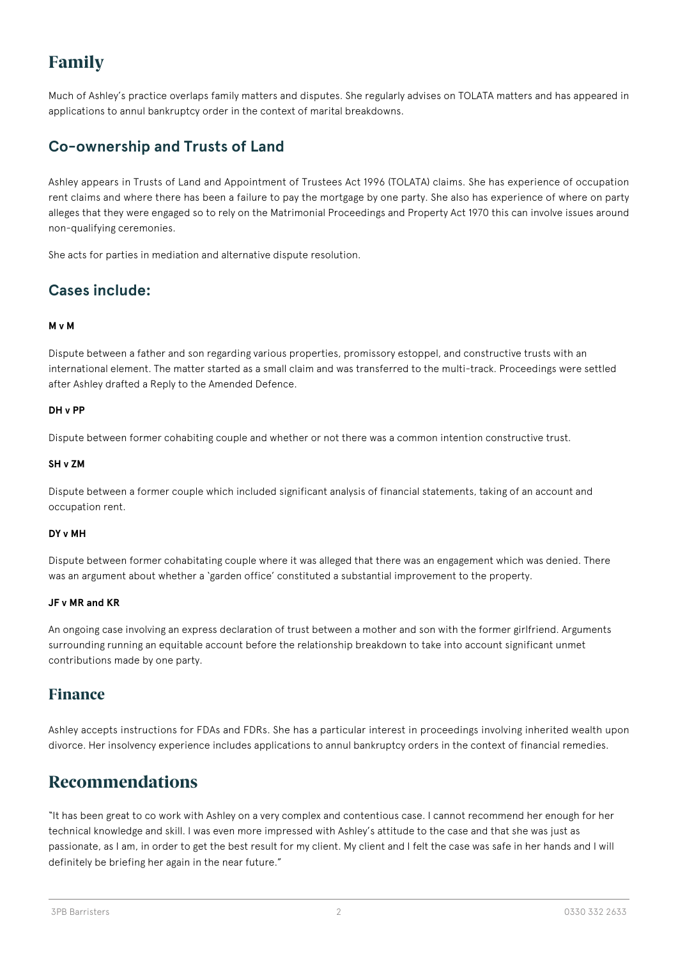## **Family**

Much of Ashley's practice overlaps family matters and disputes. She regularly advises on TOLATA matters and has appeared in applications to annul bankruptcy order in the context of marital breakdowns.

## **Co-ownership and Trusts of Land**

Ashley appears in Trusts of Land and Appointment of Trustees Act 1996 (TOLATA) claims. She has experience of occupation rent claims and where there has been a failure to pay the mortgage by one party. She also has experience of where on party alleges that they were engaged so to rely on the Matrimonial Proceedings and Property Act 1970 this can involve issues around non-qualifying ceremonies.

She acts for parties in mediation and alternative dispute resolution.

## **Cases include:**

#### **M v M**

Dispute between a father and son regarding various properties, promissory estoppel, and constructive trusts with an international element. The matter started as a small claim and was transferred to the multi-track. Proceedings were settled after Ashley drafted a Reply to the Amended Defence.

#### **DH v PP**

Dispute between former cohabiting couple and whether or not there was a common intention constructive trust.

#### **SH v ZM**

Dispute between a former couple which included significant analysis of financial statements, taking of an account and occupation rent.

#### **DY v MH**

Dispute between former cohabitating couple where it was alleged that there was an engagement which was denied. There was an argument about whether a 'garden office' constituted a substantial improvement to the property.

#### **JF v MR and KR**

An ongoing case involving an express declaration of trust between a mother and son with the former girlfriend. Arguments surrounding running an equitable account before the relationship breakdown to take into account significant unmet contributions made by one party.

### **Finance**

Ashley accepts instructions for FDAs and FDRs. She has a particular interest in proceedings involving inherited wealth upon divorce. Her insolvency experience includes applications to annul bankruptcy orders in the context of financial remedies.

## **Recommendations**

"It has been great to co work with Ashley on a very complex and contentious case. I cannot recommend her enough for her technical knowledge and skill. I was even more impressed with Ashley's attitude to the case and that she was just as passionate, as I am, in order to get the best result for my client. My client and I felt the case was safe in her hands and I will definitely be briefing her again in the near future."